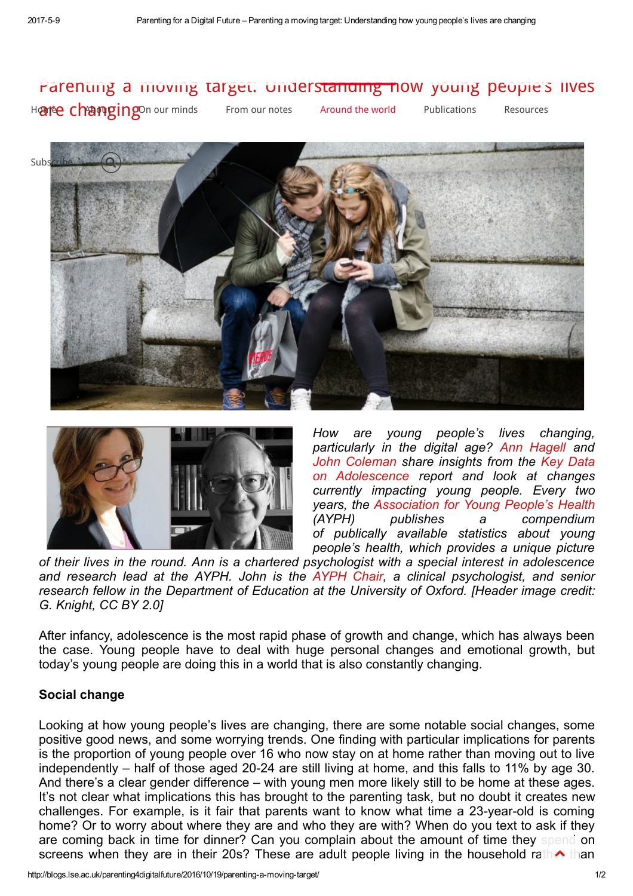# Parenting a [moving](http://blogs.lse.ac.uk/parenting4digitalfuture/category/on-our-minds/) ta[rget:](http://blogs.lse.ac.uk/parenting4digitalfuture/category/from-our-notes/) [Understanding](http://blogs.lse.ac.uk/parenting4digitalfuture/2016/10/19/parenting-a-moving-target/) how [young](http://blogs.lse.ac.uk/parenting4digitalfuture/category/publications/) p[eople's](http://blogs.lse.ac.uk/parenting4digitalfuture/resources/) lives

H**[are](http://blogs.lse.ac.uk/parenting4digitalfuture/) C[hang](http://blogs.lse.ac.uk/parenting4digitalfuture/about/about-this-blog/)ing** our minds From our notes Around the world Publications Resources





How are young people's lives changing, particularly in the digital age? Ann [Hagell](http://www.youngpeopleshealth.org.uk/about-us/staff) and John [Coleman](http://www.jcoleman.co.uk/) share insights from the Key Data on [Adolescence](http://www.youngpeopleshealth.org.uk/key-data-on-adolescence) report and look at changes currently impacting young people. Every two years, the [Association](http://www.ayph.org.uk/) for Young People's Health (AYPH) publishes a compendium of publically available statistics about young people's health, which provides a unique picture

of their lives in the round. Ann is a chartered psychologist with a special interest in adolescence and research lead at the AYPH. John is the [AYPH](http://www.youngpeopleshealth.org.uk/about-us/trustees) Chair, a clinical psychologist, and senior research fellow in the Department of Education at the University of Oxford. [Header image credit: G. Knight, CC BY 2.0]

After infancy, adolescence is the most rapid phase of growth and change, which has always been the case. Young people have to deal with huge personal changes and emotional growth, but today's young people are doing this in a world that is also constantly changing.

## Social change

Looking at how young people's lives are changing, there are some notable social changes, some positive good news, and some worrying trends. One finding with particular implications for parents is the proportion of young people over 16 who now stay on at home rather than moving out to live independently  $-$  half of those aged 20-24 are still living at home, and this falls to 11% by age 30. And there's a clear gender difference – with young men more likely still to be home at these ages. It's not clear what implications this has brought to the parenting task, but no doubt it creates new challenges. For example, is it fair that parents want to know what time a 23-year-old is coming home? Or to worry about where they are and who they are with? When do you text to ask if they are coming back in time for dinner? Can you complain about the amount of time they spend on screens when they are in their 20s? These are adult people living in the household rath than